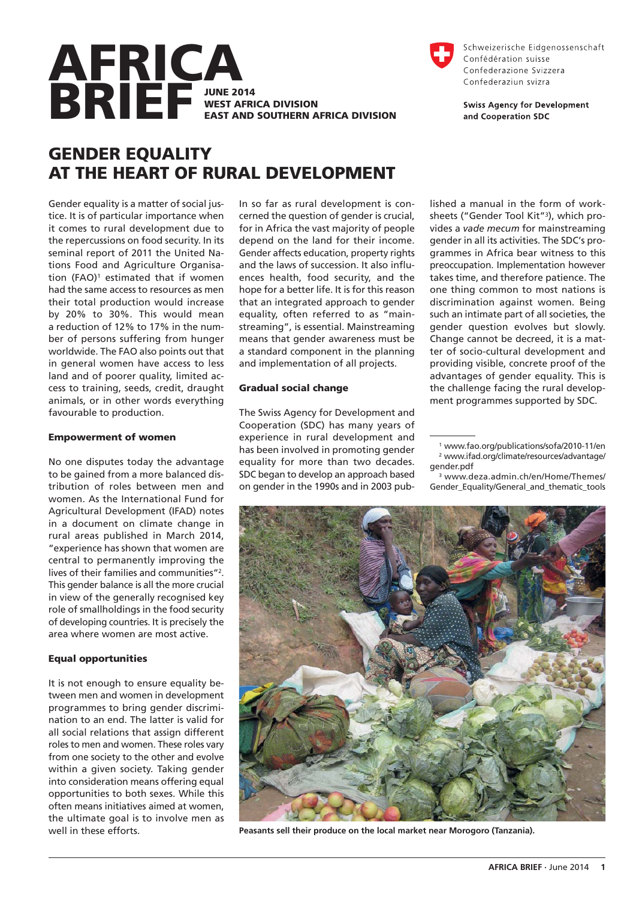

# **GENDER EQUALITY AT THE HEART OF RURAL DEVELOPMENT**

Gender equality is a matter of social justice. It is of particular importance when it comes to rural development due to the repercussions on food security. In its seminal report of 2011 the United Nations Food and Agriculture Organisation (FAO)<sup>1</sup> estimated that if women had the same access to resources as men their total production would increase by 20% to 30%. This would mean a reduction of 12% to 17% in the number of persons suffering from hunger worldwide. The FAO also points out that in general women have access to less land and of poorer quality, limited access to training, seeds, credit, draught animals, or in other words everything favourable to production.

#### **Empowerment of women**

No one disputes today the advantage to be gained from a more balanced distribution of roles between men and women. As the International Fund for Agricultural Development (IFAD) notes in a document on climate change in rural areas published in March 2014, "experience has shown that women are central to permanently improving the lives of their families and communities"2. This gender balance is all the more crucial in view of the generally recognised key role of smallholdings in the food security of developing countries. It is precisely the area where women are most active.

#### **Equal opportunities**

It is not enough to ensure equality between men and women in development programmes to bring gender discrimination to an end. The latter is valid for all social relations that assign different roles to men and women. These roles vary from one society to the other and evolve within a given society. Taking gender into consideration means offering equal opportunities to both sexes. While this often means initiatives aimed at women, the ultimate goal is to involve men as well in these efforts.

In so far as rural development is concerned the question of gender is crucial, for in Africa the vast majority of people depend on the land for their income. Gender affects education, property rights and the laws of succession. It also influences health, food security, and the hope for a better life. It is for this reason that an integrated approach to gender equality, often referred to as "mainstreaming", is essential. Mainstreaming means that gender awareness must be a standard component in the planning and implementation of all projects.

#### **Gradual social change**

The Swiss Agency for Development and Cooperation (SDC) has many years of experience in rural development and has been involved in promoting gender equality for more than two decades. SDC began to develop an approach based on gender in the 1990s and in 2003 pub-



Schweizerische Eidgenossenschaft Confédération suisse Confederazione Svizzera Confederaziun svizra

**Swiss Agency for Development** and Cooperation SDC

lished a manual in the form of worksheets ("Gender Tool Kit"3), which provides a *vade mecum* for mainstreaming gender in all its activities. The SDC's programmes in Africa bear witness to this preoccupation. Implementation however takes time, and therefore patience. The one thing common to most nations is discrimination against women. Being such an intimate part of all societies, the gender question evolves but slowly. Change cannot be decreed, it is a matter of socio-cultural development and providing visible, concrete proof of the advantages of gender equality. This is the challenge facing the rural development programmes supported by SDC.

<sup>3</sup> www.deza.admin.ch/en/Home/Themes/ Gender Equality/General and thematic tools



**Peasants sell their produce on the local market near Morogoro (Tanzania).**

<sup>1</sup> www.fao.org/publications/sofa/2010-11/en <sup>2</sup> www.ifad.org/climate/resources/advantage/ gender.pdf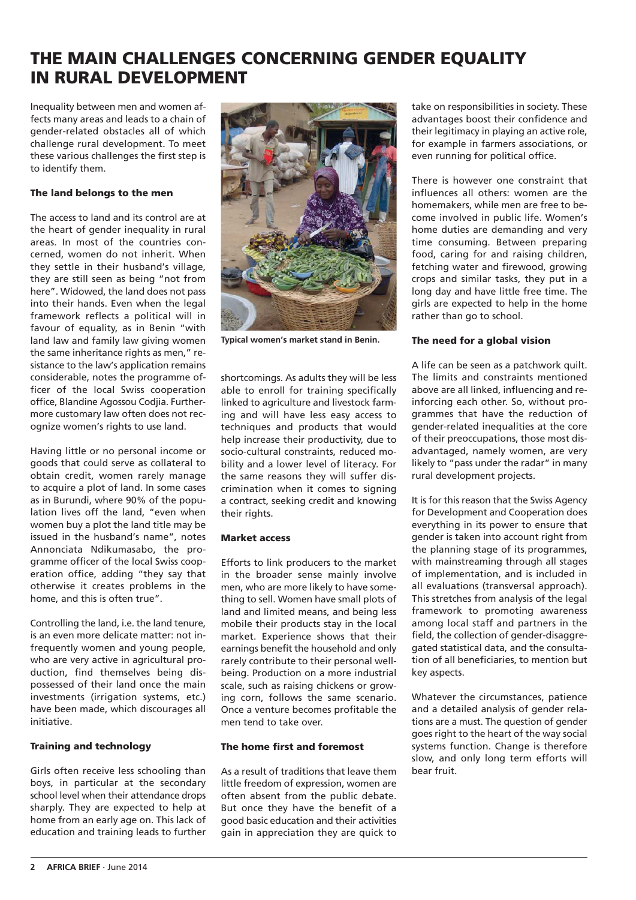# **THE MAIN CHALLENGES CONCERNING GENDER EQUALITY IN RURAL DEVELOPMENT**

Inequality between men and women affects many areas and leads to a chain of gender-related obstacles all of which challenge rural development. To meet these various challenges the first step is to identify them.

## **The land belongs to the men**

The access to land and its control are at the heart of gender inequality in rural areas. In most of the countries concerned, women do not inherit. When they settle in their husband's village, they are still seen as being "not from here". Widowed, the land does not pass into their hands. Even when the legal framework reflects a political will in favour of equality, as in Benin "with land law and family law giving women the same inheritance rights as men," resistance to the law's application remains considerable, notes the programme officer of the local Swiss cooperation office, Blandine Agossou Codjia. Furthermore customary law often does not recognize women's rights to use land.

Having little or no personal income or goods that could serve as collateral to obtain credit, women rarely manage to acquire a plot of land. In some cases as in Burundi, where 90% of the population lives off the land, "even when women buy a plot the land title may be issued in the husband's name", notes Annonciata Ndikumasabo, the programme officer of the local Swiss cooperation office, adding "they say that otherwise it creates problems in the home, and this is often true".

Controlling the land, i.e. the land tenure, is an even more delicate matter: not infrequently women and young people, who are very active in agricultural production, find themselves being dispossessed of their land once the main investments (irrigation systems, etc.) have been made, which discourages all initiative.

# **Training and technology**

Girls often receive less schooling than boys, in particular at the secondary school level when their attendance drops sharply. They are expected to help at home from an early age on. This lack of education and training leads to further



**Typical women's market stand in Benin.**

shortcomings. As adults they will be less able to enroll for training specifically linked to agriculture and livestock farming and will have less easy access to techniques and products that would help increase their productivity, due to socio-cultural constraints, reduced mobility and a lower level of literacy. For the same reasons they will suffer discrimination when it comes to signing a contract, seeking credit and knowing their rights.

# **Market access**

Efforts to link producers to the market in the broader sense mainly involve men, who are more likely to have something to sell. Women have small plots of land and limited means, and being less mobile their products stay in the local market. Experience shows that their earnings benefit the household and only rarely contribute to their personal wellbeing. Production on a more industrial scale, such as raising chickens or growing corn, follows the same scenario. Once a venture becomes profitable the men tend to take over.

# **The home first and foremost**

As a result of traditions that leave them little freedom of expression, women are often absent from the public debate. But once they have the benefit of a good basic education and their activities gain in appreciation they are quick to take on responsibilities in society. These advantages boost their confidence and their legitimacy in playing an active role, for example in farmers associations, or even running for political office.

There is however one constraint that influences all others: women are the homemakers, while men are free to become involved in public life. Women's home duties are demanding and very time consuming. Between preparing food, caring for and raising children, fetching water and firewood, growing crops and similar tasks, they put in a long day and have little free time. The girls are expected to help in the home rather than go to school.

# **The need for a global vision**

A life can be seen as a patchwork quilt. The limits and constraints mentioned above are all linked, influencing and reinforcing each other. So, without programmes that have the reduction of gender-related inequalities at the core of their preoccupations, those most disadvantaged, namely women, are very likely to "pass under the radar" in many rural development projects.

It is for this reason that the Swiss Agency for Development and Cooperation does everything in its power to ensure that gender is taken into account right from the planning stage of its programmes, with mainstreaming through all stages of implementation, and is included in all evaluations (transversal approach). This stretches from analysis of the legal framework to promoting awareness among local staff and partners in the field, the collection of gender-disaggregated statistical data, and the consultation of all beneficiaries, to mention but key aspects.

Whatever the circumstances, patience and a detailed analysis of gender relations are a must. The question of gender goes right to the heart of the way social systems function. Change is therefore slow, and only long term efforts will bear fruit.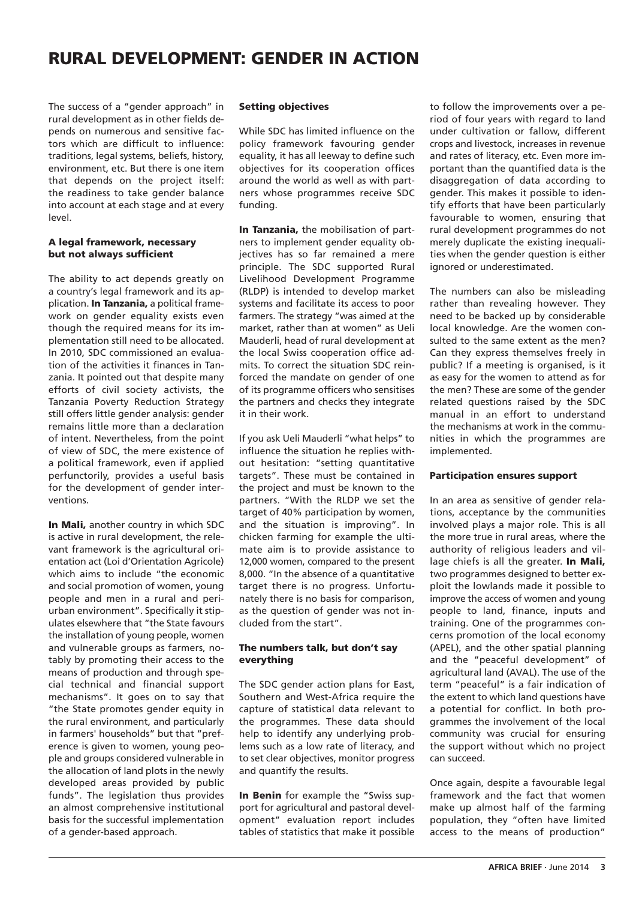# **RURAL DEVELOPMENT: GENDER IN ACTION**

The success of a "gender approach" in rural development as in other fields depends on numerous and sensitive factors which are difficult to influence: traditions, legal systems, beliefs, history, environment, etc. But there is one item that depends on the project itself: the readiness to take gender balance into account at each stage and at every level.

# **A legal framework, necessary but not always sufficient**

The ability to act depends greatly on a country's legal framework and its application. **In Tanzania,** a political framework on gender equality exists even though the required means for its implementation still need to be allocated. In 2010, SDC commissioned an evaluation of the activities it finances in Tanzania. It pointed out that despite many efforts of civil society activists, the Tanzania Poverty Reduction Strategy still offers little gender analysis: gender remains little more than a declaration of intent. Nevertheless, from the point of view of SDC, the mere existence of a political framework, even if applied perfunctorily, provides a useful basis for the development of gender interventions.

**In Mali,** another country in which SDC is active in rural development, the relevant framework is the agricultural orientation act (Loi d'Orientation Agricole) which aims to include "the economic and social promotion of women, young people and men in a rural and periurban environment". Specifically it stipulates elsewhere that "the State favours the installation of young people, women and vulnerable groups as farmers, notably by promoting their access to the means of production and through special technical and financial support mechanisms". It goes on to say that "the State promotes gender equity in the rural environment, and particularly in farmers' households" but that "preference is given to women, young people and groups considered vulnerable in the allocation of land plots in the newly developed areas provided by public funds". The legislation thus provides an almost comprehensive institutional basis for the successful implementation of a gender-based approach.

# **Setting objectives**

While SDC has limited influence on the policy framework favouring gender equality, it has all leeway to define such objectives for its cooperation offices around the world as well as with partners whose programmes receive SDC funding.

**In Tanzania,** the mobilisation of partners to implement gender equality objectives has so far remained a mere principle. The SDC supported Rural Livelihood Development Programme (RLDP) is intended to develop market systems and facilitate its access to poor farmers. The strategy "was aimed at the market, rather than at women" as Ueli Mauderli, head of rural development at the local Swiss cooperation office admits. To correct the situation SDC reinforced the mandate on gender of one of its programme officers who sensitises the partners and checks they integrate it in their work.

If you ask Ueli Mauderli "what helps" to influence the situation he replies without hesitation: "setting quantitative targets". These must be contained in the project and must be known to the partners. "With the RLDP we set the target of 40% participation by women, and the situation is improving". In chicken farming for example the ultimate aim is to provide assistance to 12,000 women, compared to the present 8,000. "In the absence of a quantitative target there is no progress. Unfortunately there is no basis for comparison, as the question of gender was not included from the start".

## **The numbers talk, but don't say everything**

The SDC gender action plans for East, Southern and West-Africa require the capture of statistical data relevant to the programmes. These data should help to identify any underlying problems such as a low rate of literacy, and to set clear objectives, monitor progress and quantify the results.

**In Benin** for example the "Swiss support for agricultural and pastoral development" evaluation report includes tables of statistics that make it possible to follow the improvements over a period of four years with regard to land under cultivation or fallow, different crops and livestock, increases in revenue and rates of literacy, etc. Even more important than the quantified data is the disaggregation of data according to gender. This makes it possible to identify efforts that have been particularly favourable to women, ensuring that rural development programmes do not merely duplicate the existing inequalities when the gender question is either ignored or underestimated.

The numbers can also be misleading rather than revealing however. They need to be backed up by considerable local knowledge. Are the women consulted to the same extent as the men? Can they express themselves freely in public? If a meeting is organised, is it as easy for the women to attend as for the men? These are some of the gender related questions raised by the SDC manual in an effort to understand the mechanisms at work in the communities in which the programmes are implemented.

## **Participation ensures support**

In an area as sensitive of gender relations, acceptance by the communities involved plays a major role. This is all the more true in rural areas, where the authority of religious leaders and village chiefs is all the greater. **In Mali,** two programmes designed to better exploit the lowlands made it possible to improve the access of women and young people to land, finance, inputs and training. One of the programmes concerns promotion of the local economy (APEL), and the other spatial planning and the "peaceful development" of agricultural land (AVAL). The use of the term "peaceful" is a fair indication of the extent to which land questions have a potential for conflict. In both programmes the involvement of the local community was crucial for ensuring the support without which no project can succeed.

Once again, despite a favourable legal framework and the fact that women make up almost half of the farming population, they "often have limited access to the means of production"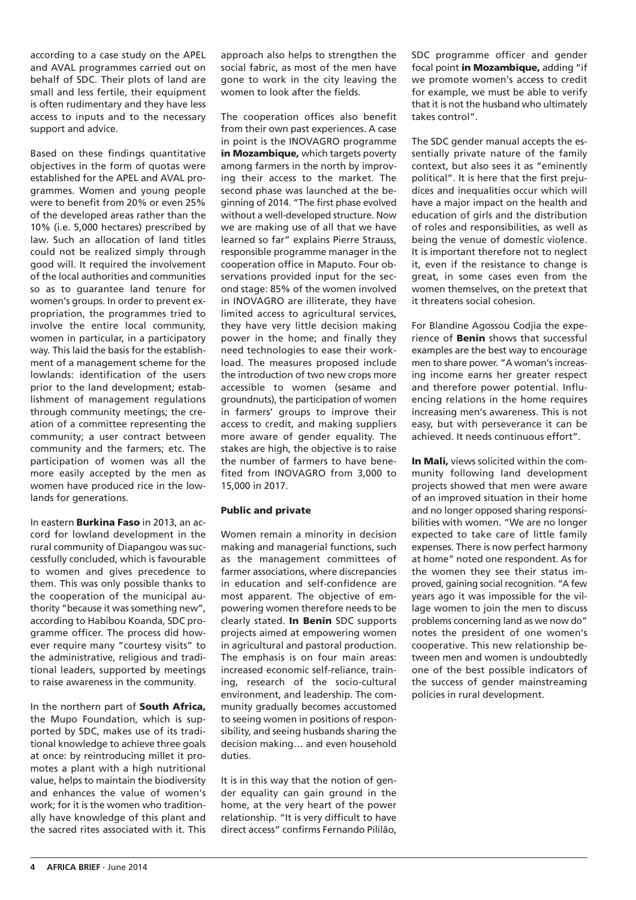according to a case study on the APEL and AVAL programmes carried out on behalf of SDC. Their plots of land are small and less fertile, their equipment is often rudimentary and they have less access to inputs and to the necessary support and advice.

Based on these findings quantitative objectives in the form of quotas were established for the APEL and AVAL programmes. Women and young people were to benefit from 20% or even 25% of the developed areas rather than the 10% (i.e. 5,000 hectares) prescribed by law. Such an allocation of land titles could not be realized simply through good will. It required the involvement of the local authorities and communities so as to guarantee land tenure for women's groups. In order to prevent expropriation, the programmes tried to involve the entire local community, women in particular, in a participatory way. This laid the basis for the establishment of a management scheme for the lowlands: identification of the users prior to the land development; establishment of management regulations through community meetings; the creation of a committee representing the community; a user contract between community and the farmers; etc. The participation of women was all the more easily accepted by the men as women have produced rice in the lowlands for generations.

In eastern **Burkina Faso** in 2013, an accord for lowland development in the rural community of Diapangou was successfully concluded, which is favourable to women and gives precedence to them. This was only possible thanks to the cooperation of the municipal authority "because it was something new", according to Habibou Koanda, SDC programme officer. The process did however require many "courtesy visits" to the administrative, religious and traditional leaders, supported by meetings to raise awareness in the community.

In the northern part of **South Africa,** the Mupo Foundation, which is supported by SDC, makes use of its traditional knowledge to achieve three goals at once: by reintroducing millet it promotes a plant with a high nutritional value, helps to maintain the biodiversity and enhances the value of women's work; for it is the women who traditionally have knowledge of this plant and the sacred rites associated with it. This

approach also helps to strengthen the social fabric, as most of the men have gone to work in the city leaving the women to look after the fields.

The cooperation offices also benefit from their own past experiences. A case in point is the INOVAGRO programme **in Mozambique,** which targets poverty among farmers in the north by improving their access to the market. The second phase was launched at the beginning of 2014. "The first phase evolved without a well-developed structure. Now we are making use of all that we have learned so far" explains Pierre Strauss, responsible programme manager in the cooperation office in Maputo. Four observations provided input for the second stage: 85% of the women involved in INOVAGRO are illiterate, they have limited access to agricultural services, they have very little decision making power in the home; and finally they need technologies to ease their workload. The measures proposed include the introduction of two new crops more accessible to women (sesame and groundnuts), the participation of women in farmers' groups to improve their access to credit, and making suppliers more aware of gender equality. The stakes are high, the objective is to raise the number of farmers to have benefited from INOVAGRO from 3,000 to 15,000 in 2017.

## **Public and private**

Women remain a minority in decision making and managerial functions, such as the management committees of farmer associations, where discrepancies in education and self-confidence are most apparent. The objective of empowering women therefore needs to be clearly stated. **In Benin** SDC supports projects aimed at empowering women in agricultural and pastoral production. The emphasis is on four main areas: increased economic self-reliance, training, research of the socio-cultural environment, and leadership. The community gradually becomes accustomed to seeing women in positions of responsibility, and seeing husbands sharing the decision making… and even household duties.

It is in this way that the notion of gender equality can gain ground in the home, at the very heart of the power relationship. "It is very difficult to have direct access" confirms Fernando Pililão,

SDC programme officer and gender focal point **in Mozambique,** adding "if we promote women's access to credit for example, we must be able to verify that it is not the husband who ultimately takes control".

The SDC gender manual accepts the essentially private nature of the family context, but also sees it as "eminently political". It is here that the first prejudices and inequalities occur which will have a major impact on the health and education of girls and the distribution of roles and responsibilities, as well as being the venue of domestic violence. It is important therefore not to neglect it, even if the resistance to change is great, in some cases even from the women themselves, on the pretext that it threatens social cohesion.

For Blandine Agossou Codjia the experience of **Benin** shows that successful examples are the best way to encourage men to share power. "A woman's increasing income earns her greater respect and therefore power potential. Influencing relations in the home requires increasing men's awareness. This is not easy, but with perseverance it can be achieved. It needs continuous effort".

**In Mali,** views solicited within the community following land development projects showed that men were aware of an improved situation in their home and no longer opposed sharing responsibilities with women. "We are no longer expected to take care of little family expenses. There is now perfect harmony at home" noted one respondent. As for the women they see their status improved, gaining social recognition. "A few years ago it was impossible for the village women to join the men to discuss problems concerning land as we now do" notes the president of one women's cooperative. This new relationship between men and women is undoubtedly one of the best possible indicators of the success of gender mainstreaming policies in rural development.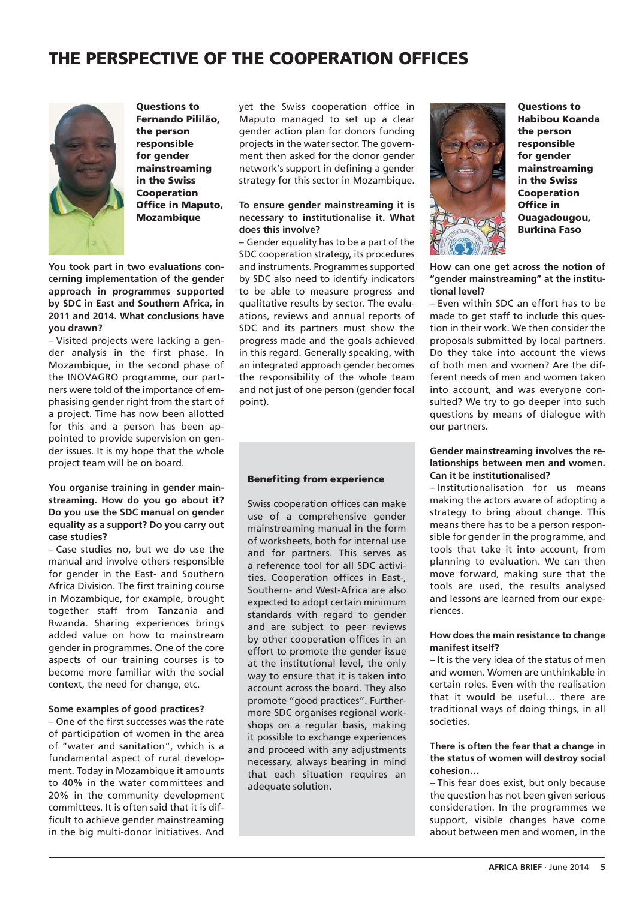# **THE PERSPECTIVE OF THE COOPERATION OFFICES**



**Questions to Fernando Pililão, the person responsible for gender mainstreaming in the Swiss Cooperation Office in Maputo, Mozambique**

**You took part in two evaluations concerning implementation of the gender approach in programmes supported by SDC in East and Southern Africa, in 2011 and 2014. What conclusions have you drawn?**

– Visited projects were lacking a gender analysis in the first phase. In Mozambique, in the second phase of the INOVAGRO programme, our partners were told of the importance of emphasising gender right from the start of a project. Time has now been allotted for this and a person has been appointed to provide supervision on gender issues. It is my hope that the whole project team will be on board.

### **You organise training in gender mainstreaming. How do you go about it? Do you use the SDC manual on gender equality as a support? Do you carry out case studies?**

– Case studies no, but we do use the manual and involve others responsible for gender in the East- and Southern Africa Division. The first training course in Mozambique, for example, brought together staff from Tanzania and Rwanda. Sharing experiences brings added value on how to mainstream gender in programmes. One of the core aspects of our training courses is to become more familiar with the social context, the need for change, etc.

### **Some examples of good practices?**

– One of the first successes was the rate of participation of women in the area of "water and sanitation", which is a fundamental aspect of rural development. Today in Mozambique it amounts to 40% in the water committees and 20% in the community development committees. It is often said that it is difficult to achieve gender mainstreaming in the big multi-donor initiatives. And

yet the Swiss cooperation office in Maputo managed to set up a clear gender action plan for donors funding projects in the water sector. The government then asked for the donor gender network's support in defining a gender strategy for this sector in Mozambique.

#### **To ensure gender mainstreaming it is necessary to institutionalise it. What does this involve?**

– Gender equality has to be a part of the SDC cooperation strategy, its procedures and instruments. Programmes supported by SDC also need to identify indicators to be able to measure progress and qualitative results by sector. The evaluations, reviews and annual reports of SDC and its partners must show the progress made and the goals achieved in this regard. Generally speaking, with an integrated approach gender becomes the responsibility of the whole team and not just of one person (gender focal point).

#### **Benefiting from experience**

Swiss cooperation offices can make use of a comprehensive gender mainstreaming manual in the form of worksheets, both for internal use and for partners. This serves as a reference tool for all SDC activities. Cooperation offices in East-, Southern- and West-Africa are also expected to adopt certain minimum standards with regard to gender and are subject to peer reviews by other cooperation offices in an effort to promote the gender issue at the institutional level, the only way to ensure that it is taken into account across the board. They also promote "good practices". Furthermore SDC organises regional workshops on a regular basis, making it possible to exchange experiences and proceed with any adjustments necessary, always bearing in mind that each situation requires an adequate solution.



**Questions to Habibou Koanda the person responsible for gender mainstreaming in the Swiss Cooperation Office in Ouagadougou, Burkina Faso**

**How can one get across the notion of "gender mainstreaming" at the institutional level?** 

– Even within SDC an effort has to be made to get staff to include this question in their work. We then consider the proposals submitted by local partners. Do they take into account the views of both men and women? Are the different needs of men and women taken into account, and was everyone consulted? We try to go deeper into such questions by means of dialogue with our partners.

### **Gender mainstreaming involves the relationships between men and women. Can it be institutionalised?**

– Institutionalisation for us means making the actors aware of adopting a strategy to bring about change. This means there has to be a person responsible for gender in the programme, and tools that take it into account, from planning to evaluation. We can then move forward, making sure that the tools are used, the results analysed and lessons are learned from our experiences.

#### **How does the main resistance to change manifest itself?**

– It is the very idea of the status of men and women. Women are unthinkable in certain roles. Even with the realisation that it would be useful… there are traditional ways of doing things, in all societies.

#### **There is often the fear that a change in the status of women will destroy social cohesion…**

– This fear does exist, but only because the question has not been given serious consideration. In the programmes we support, visible changes have come about between men and women, in the